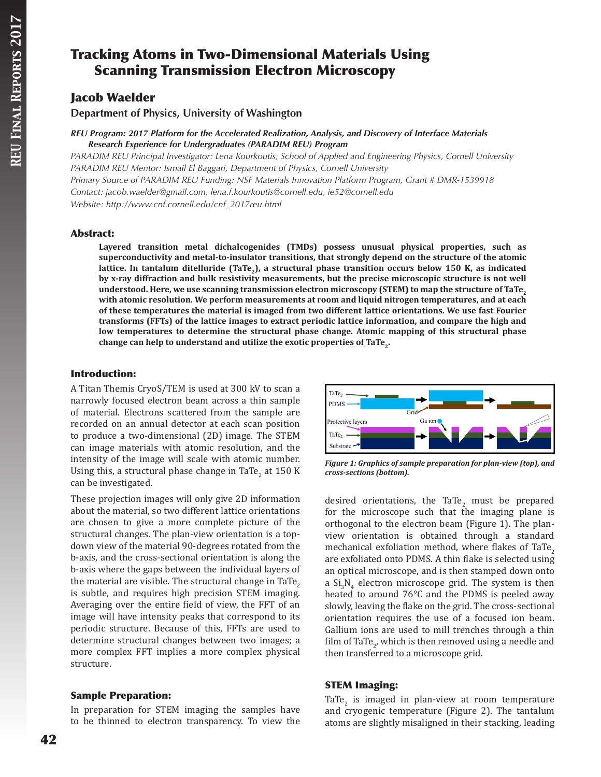# Tracking Atoms in Two-Dimensional Materials Using Scanning Transmission Electron Microscopy

### Jacob Waelder

**Department of Physics, University of Washington**

#### *REU Program: 2017 Platform for the Accelerated Realization, Analysis, and Discovery of Interface Materials Research Experience for Undergraduates (PARADIM REU) Program*

*PARADIM REU Principal Investigator: Lena Kourkoutis, School of Applied and Engineering Physics, Cornell University PARADIM REU Mentor: Ismail El Baggari, Department of Physics, Cornell University Primary Source of PARADIM REU Funding: NSF Materials Innovation Platform Program, Grant # DMR-1539918 Contact: jacob.waelder@gmail.com, lena.f.kourkoutis@cornell.edu, ie52@cornell.edu Website: http://www.cnf.cornell.edu/cnf\_2017reu.html*

### Abstract:

**Layered transition metal dichalcogenides (TMDs) possess unusual physical properties, such as superconductivity and metal-to-insulator transitions, that strongly depend on the structure of the atomic**  lattice. In tantalum ditelluride (TaTe<sub>3</sub>), a structural phase transition occurs below 150 K, as indicated **by x-ray diffraction and bulk resistivity measurements, but the precise microscopic structure is not well**  understood. Here, we use scanning transmission electron microscopy (STEM) to map the structure of TaTe, **with atomic resolution. We perform measurements at room and liquid nitrogen temperatures, and at each of these temperatures the material is imaged from two different lattice orientations. We use fast Fourier transforms (FFTs) of the lattice images to extract periodic lattice information, and compare the high and low temperatures to determine the structural phase change. Atomic mapping of this structural phase change can help to understand and utilize the exotic properties of TaTe2.**

### Introduction:

A Titan Themis CryoS/TEM is used at 300 kV to scan a narrowly focused electron beam across a thin sample of material. Electrons scattered from the sample are recorded on an annual detector at each scan position to produce a two-dimensional (2D) image. The STEM can image materials with atomic resolution, and the intensity of the image will scale with atomic number. Using this, a structural phase change in TaTe<sub>2</sub> at  $150 \text{ K}$ can be investigated.

These projection images will only give 2D information about the material, so two different lattice orientations are chosen to give a more complete picture of the structural changes. The plan-view orientation is a topdown view of the material 90-degrees rotated from the b-axis, and the cross-sectional orientation is along the b-axis where the gaps between the individual layers of the material are visible. The structural change in TaTe<sub>2</sub> is subtle, and requires high precision STEM imaging. Averaging over the entire field of view, the FFT of an image will have intensity peaks that correspond to its periodic structure. Because of this, FFTs are used to determine structural changes between two images; a more complex FFT implies a more complex physical structure.



*Figure 1: Graphics of sample preparation for plan-view (top), and cross-sections (bottom).*

desired orientations, the TaTe<sub>2</sub> must be prepared for the microscope such that the imaging plane is orthogonal to the electron beam (Figure 1). The planview orientation is obtained through a standard mechanical exfoliation method, where flakes of TaTe, are exfoliated onto PDMS. A thin flake is selected using an optical microscope, and is then stamped down onto a  $Si<sub>3</sub>N<sub>4</sub>$  electron microscope grid. The system is then heated to around 76°C and the PDMS is peeled away slowly, leaving the flake on the grid. The cross-sectional orientation requires the use of a focused ion beam. Gallium ions are used to mill trenches through a thin film of TaTe<sub>2</sub>, which is then removed using a needle and then transferred to a microscope grid.

### STEM Imaging:

TaTe<sub>2</sub> is imaged in plan-view at room temperature and cryogenic temperature (Figure 2). The tantalum atoms are slightly misaligned in their stacking, leading

## Sample Preparation:

In preparation for STEM imaging the samples have to be thinned to electron transparency. To view the